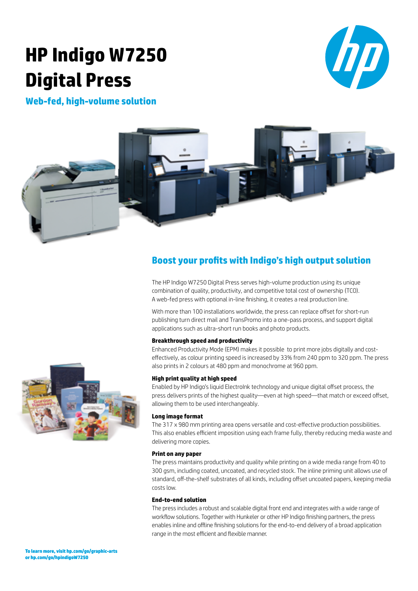# **HP Indigo W7250 Digital Press**



**Web-fed, high-volume solution**



## **Boost your profits with Indigo's high output solution**

The HP Indigo W7250 Digital Press serves high-volume production using its unique combination of quality, productivity, and competitive total cost of ownership (TCO). A web-fed press with optional in-line finishing, it creates a real production line.

With more than 100 installations worldwide, the press can replace offset for short-run publishing turn direct mail and TransPromo into a one-pass process, and support digital applications such as ultra-short run books and photo products.

### **Breakthrough speed and productivity**

Enhanced Productivity Mode (EPM) makes it possible to print more jobs digitally and costeffectively, as colour printing speed is increased by 33% from 240 ppm to 320 ppm. The press also prints in 2 colours at 480 ppm and monochrome at 960 ppm.

### **High print quality at high speed**

Enabled by HP Indigo's liquid ElectroInk technology and unique digital offset process, the press delivers prints of the highest quality—even at high speed—that match or exceed offset, allowing them to be used interchangeably.

### **Long image format**

The 317 x 980 mm printing area opens versatile and cost-effective production possibilities. This also enables efficient imposition using each frame fully, thereby reducing media waste and delivering more copies.

### **Print on any paper**

The press maintains productivity and quality while printing on a wide media range from 40 to 300 gsm, including coated, uncoated, and recycled stock. The inline priming unit allows use of standard, off-the-shelf substrates of all kinds, including offset uncoated papers, keeping media costs low.

### **End-to-end solution**

The press includes a robust and scalable digital front end and integrates with a wide range of workflow solutions. Together with Hunkeler or other HP Indigo finishing partners, the press enables inline and offline finishing solutions for the end-to-end delivery of a broad application range in the most efficient and flexible manner.

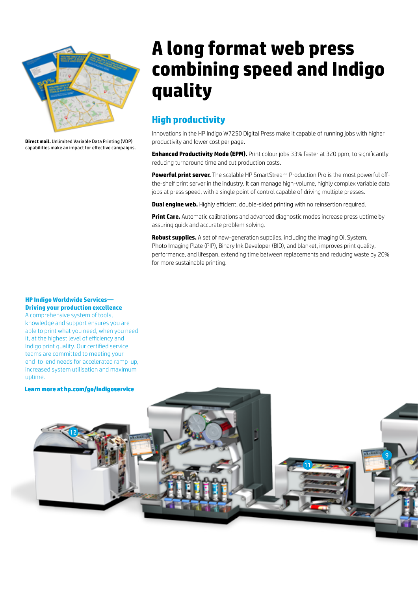

**Direct mail.** Unlimited Variable Data Printing (VDP) capabilities make an impact for effective campaigns.

## **A long format web press combining speed and Indigo quality**

## **High productivity**

Innovations in the HP Indigo W7250 Digital Press make it capable of running jobs with higher productivity and lower cost per page.

**Enhanced Productivity Mode (EPM).** Print colour jobs 33% faster at 320 ppm, to significantly reducing turnaround time and cut production costs.

**Powerful print server.** The scalable HP SmartStream Production Pro is the most powerful offthe-shelf print server in the industry. It can manage high-volume, highly complex variable data jobs at press speed, with a single point of control capable of driving multiple presses.

**Dual engine web.** Highly efficient, double-sided printing with no reinsertion required.

**Print Care.** Automatic calibrations and advanced diagnostic modes increase press uptime by assuring quick and accurate problem solving.

**Robust supplies.** A set of new-generation supplies, including the Imaging Oil System, Photo Imaging Plate (PIP), Binary Ink Developer (BID), and blanket, improves print quality, performance, and lifespan, extending time between replacements and reducing waste by 20% for more sustainable printing.

### **HP Indigo Worldwide Services Driving your production excellence**

A comprehensive system of tools, knowledge and support ensures you are able to print what you need, when you need it, at the highest level of efficiency and Indigo print quality. Our certified service teams are committed to meeting your end-to-end needs for accelerated ramp-up, increased system utilisation and maximum uptime.

**Learn more at hp.com/go/indigoservice**

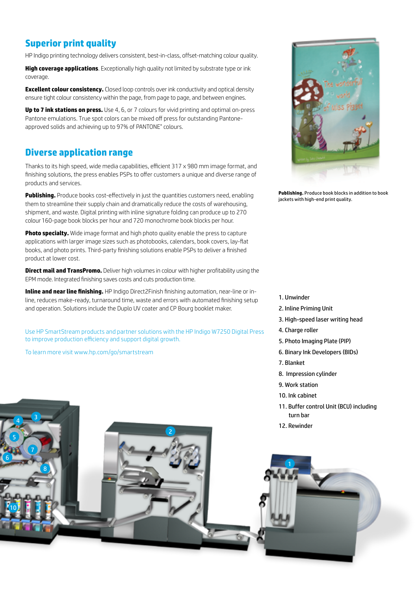## **Superior print quality**

HP Indigo printing technology delivers consistent, best-in-class, offset-matching colour quality.

**High coverage applications**. Exceptionally high quality not limited by substrate type or ink coverage.

**Excellent colour consistency.** Closed loop controls over ink conductivity and optical density ensure tight colour consistency within the page, from page to page, and between engines.

**Up to 7 ink stations on press.** Use 4, 6, or 7 colours for vivid printing and optimal on-press Pantone emulations. True spot colors can be mixed off press for outstanding Pantoneapproved solids and achieving up to 97% of PANTONE® colours.

### **Diverse application range**

Thanks to its high speed, wide media capabilities, efficient 317 x 980 mm image format, and finishing solutions, the press enables PSPs to offer customers a unique and diverse range of products and services.

**Publishing.** Produce books cost-effectively in just the quantities customers need, enabling them to streamline their supply chain and dramatically reduce the costs of warehousing, shipment, and waste. Digital printing with inline signature folding can produce up to 270 colour160-page book blocks per hour and 720 monochrome book blocks per hour.

**Photo specialty.** Wide image format and high photo quality enable the press to capture applications with larger image sizes such as photobooks, calendars, book covers, lay-flat books, and photo prints. Third-party finishing solutions enable PSPs to deliver a finished product at lower cost.

**Direct mail and TransPromo.** Deliver high volumes in colour with higher profitability using the EPM mode. Integrated finishing saves costs and cuts production time.

**Inline and near line finishing.** HP Indigo Direct2Finish finishing automation, near-line or inline, reduces make-ready, turnaround time, waste and errors with automated finishing setup and operation. Solutions include the Duplo UV coater and CP Bourg booklet maker.

Use HP SmartStream products and partner solutions with the HP Indigo W7250 Digital Press to improve production efficiency and support digital growth.

To learn more visit www.hp.com/go/smartstream

 $\overline{4}$   $\overline{6}$ 



**Publishing.** Produce book blocks in addition to book jackets with high-end print quality.

### 1. Unwinder

- 2. Inline Priming Unit
- 3. High-speed laser writing head
- 4. Charge roller
- 5. Photo Imaging Plate (PIP)
- 6. Binary Ink Developers (BIDs)
- 7. Blanket
- 8. Impression cylinder
- 9. Work station
- 10. Ink cabinet
- 11. Buffer control Unit (BCU) including turn bar
- 12. Rewinder